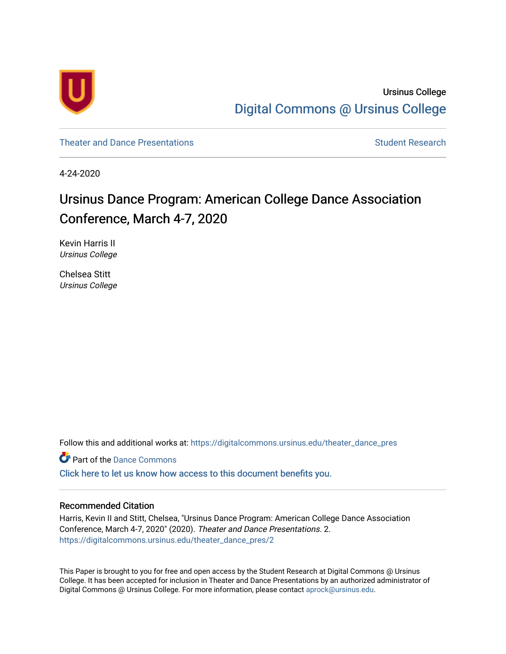

Ursinus College [Digital Commons @ Ursinus College](https://digitalcommons.ursinus.edu/) 

[Theater and Dance Presentations](https://digitalcommons.ursinus.edu/theater_dance_pres) [Student Research](https://digitalcommons.ursinus.edu/theater_dance_stu) Student Research

4-24-2020

# Ursinus Dance Program: American College Dance Association Conference, March 4-7, 2020

Kevin Harris II Ursinus College

Chelsea Stitt Ursinus College

Follow this and additional works at: [https://digitalcommons.ursinus.edu/theater\\_dance\\_pres](https://digitalcommons.ursinus.edu/theater_dance_pres?utm_source=digitalcommons.ursinus.edu%2Ftheater_dance_pres%2F2&utm_medium=PDF&utm_campaign=PDFCoverPages) 

**Part of the Dance Commons** 

[Click here to let us know how access to this document benefits you.](https://ursinus.co1.qualtrics.com/jfe/form/SV_1RIyfqzdxsWfMQ5) 

#### Recommended Citation

Harris, Kevin II and Stitt, Chelsea, "Ursinus Dance Program: American College Dance Association Conference, March 4-7, 2020" (2020). Theater and Dance Presentations. 2. [https://digitalcommons.ursinus.edu/theater\\_dance\\_pres/2](https://digitalcommons.ursinus.edu/theater_dance_pres/2?utm_source=digitalcommons.ursinus.edu%2Ftheater_dance_pres%2F2&utm_medium=PDF&utm_campaign=PDFCoverPages) 

This Paper is brought to you for free and open access by the Student Research at Digital Commons @ Ursinus College. It has been accepted for inclusion in Theater and Dance Presentations by an authorized administrator of Digital Commons @ Ursinus College. For more information, please contact [aprock@ursinus.edu](mailto:aprock@ursinus.edu).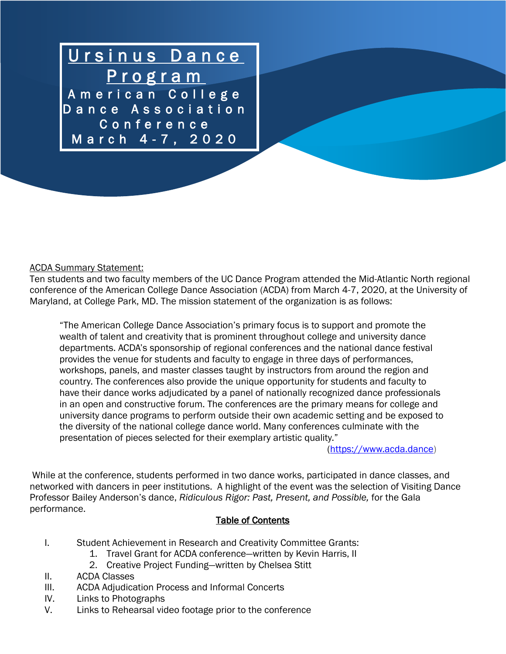

#### ACDA Summary Statement:

Ten students and two faculty members of the UC Dance Program attended the Mid-Atlantic North regional conference of the American College Dance Association (ACDA) from March 4-7, 2020, at the University of Maryland, at College Park, MD. The mission statement of the organization is as follows:

"The American College Dance Association's primary focus is to support and promote the wealth of talent and creativity that is prominent throughout college and university dance departments. ACDA's sponsorship of regional conferences and the national dance festival provides the venue for students and faculty to engage in three days of performances, workshops, panels, and master classes taught by instructors from around the region and country. The conferences also provide the unique opportunity for students and faculty to have their dance works adjudicated by a panel of nationally recognized dance professionals in an open and constructive forum. The conferences are the primary means for college and university dance programs to perform outside their own academic setting and be exposed to the diversity of the national college dance world. Many conferences culminate with the presentation of pieces selected for their exemplary artistic quality."

[\(https://www.acda.dance\)](https://www.acda.dance/)

While at the conference, students performed in two dance works, participated in dance classes, and networked with dancers in peer institutions. A highlight of the event was the selection of Visiting Dance Professor Bailey Anderson's dance, *Ridiculous Rigor: Past, Present, and Possible,* for the Gala performance.

#### Table of Contents

- I. Student Achievement in Research and Creativity Committee Grants:
	- 1. Travel Grant for ACDA conference—written by Kevin Harris, II
	- 2. Creative Project Funding—written by Chelsea Stitt
- II. ACDA Classes
- III. ACDA Adjudication Process and Informal Concerts
- IV. Links to Photographs
- V. Links to Rehearsal video footage prior to the conference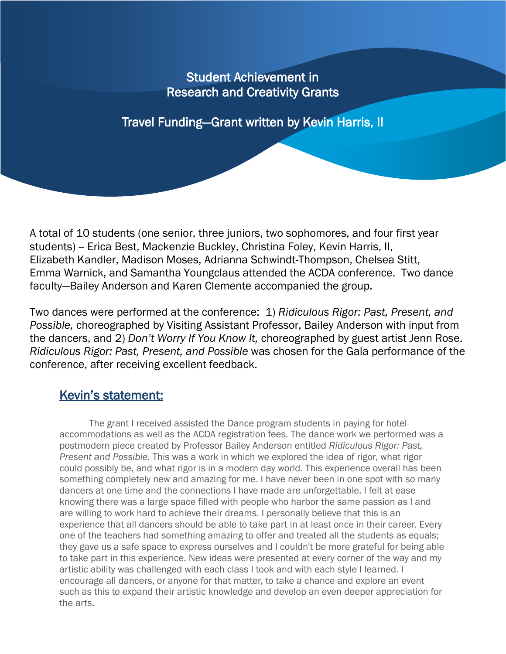## Student Achievement in Research and Creativity Grants

Travel Funding—Grant written by Kevin Harris, II

A total of 10 students (one senior, three juniors, two sophomores, and four first year students) -- Erica Best, Mackenzie Buckley, Christina Foley, Kevin Harris, II, Elizabeth Kandler, Madison Moses, Adrianna Schwindt-Thompson, Chelsea Stitt, Emma Warnick, and Samantha Youngclaus attended the ACDA conference. Two dance faculty—Bailey Anderson and Karen Clemente accompanied the group.

Two dances were performed at the conference: 1) *Ridiculous Rigor: Past, Present, and Possible,* choreographed by Visiting Assistant Professor, Bailey Anderson with input from the dancers, and 2) *Don't Worry If You Know It,* choreographed by guest artist Jenn Rose. *Ridiculous Rigor: Past, Present, and Possible* was chosen for the Gala performance of the conference, after receiving excellent feedback.

## Kevin's statement:

The grant I received assisted the Dance program students in paying for hotel accommodations as well as the ACDA registration fees. The dance work we performed was a postmodern piece created by Professor Bailey Anderson entitled *Ridiculous Rigor: Past, Present and Possible.* This was a work in which we explored the idea of rigor, what rigor could possibly be, and what rigor is in a modern day world. This experience overall has been something completely new and amazing for me. I have never been in one spot with so many dancers at one time and the connections I have made are unforgettable. I felt at ease knowing there was a large space filled with people who harbor the same passion as I and are willing to work hard to achieve their dreams. I personally believe that this is an experience that all dancers should be able to take part in at least once in their career. Every one of the teachers had something amazing to offer and treated all the students as equals; they gave us a safe space to express ourselves and I couldn't be more grateful for being able to take part in this experience. New ideas were presented at every corner of the way and my artistic ability was challenged with each class I took and with each style I learned. I encourage all dancers, or anyone for that matter, to take a chance and explore an event such as this to expand their artistic knowledge and develop an even deeper appreciation for the arts.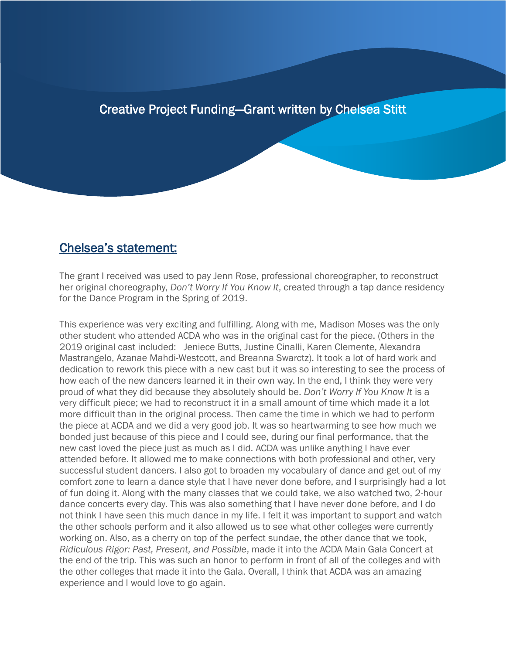### Creative Project Funding—Grant written by Chelsea Stitt

֖֖ׅ֧֚֚֚֚֚֚֚֚֚֚֚֚֚֚֚֚֚֚֚֬֡֡֡֡֡֡֬֡֡֡֬֝֟

#### Chelsea's statement:

l

The grant I received was used to pay Jenn Rose, professional choreographer, to reconstruct her original choreography, *Don't Worry If You Know It*, created through a tap dance residency for the Dance Program in the Spring of 2019.

This experience was very exciting and fulfilling. Along with me, Madison Moses was the only other student who attended ACDA who was in the original cast for the piece. (Others in the 2019 original cast included: Jeniece Butts, Justine Cinalli, Karen Clemente, Alexandra Mastrangelo, Azanae Mahdi-Westcott, and Breanna Swarctz). It took a lot of hard work and dedication to rework this piece with a new cast but it was so interesting to see the process of how each of the new dancers learned it in their own way. In the end, I think they were very proud of what they did because they absolutely should be. *Don't Worry If You Know It* is a very difficult piece; we had to reconstruct it in a small amount of time which made it a lot more difficult than in the original process. Then came the time in which we had to perform the piece at ACDA and we did a very good job. It was so heartwarming to see how much we bonded just because of this piece and I could see, during our final performance, that the new cast loved the piece just as much as I did. ACDA was unlike anything I have ever attended before. It allowed me to make connections with both professional and other, very successful student dancers. I also got to broaden my vocabulary of dance and get out of my comfort zone to learn a dance style that I have never done before, and I surprisingly had a lot of fun doing it. Along with the many classes that we could take, we also watched two, 2-hour dance concerts every day. This was also something that I have never done before, and I do not think I have seen this much dance in my life. I felt it was important to support and watch the other schools perform and it also allowed us to see what other colleges were currently working on. Also, as a cherry on top of the perfect sundae, the other dance that we took, *Ridiculous Rigor: Past, Present, and Possible*, made it into the ACDA Main Gala Concert at the end of the trip. This was such an honor to perform in front of all of the colleges and with the other colleges that made it into the Gala. Overall, I think that ACDA was an amazing experience and I would love to go again.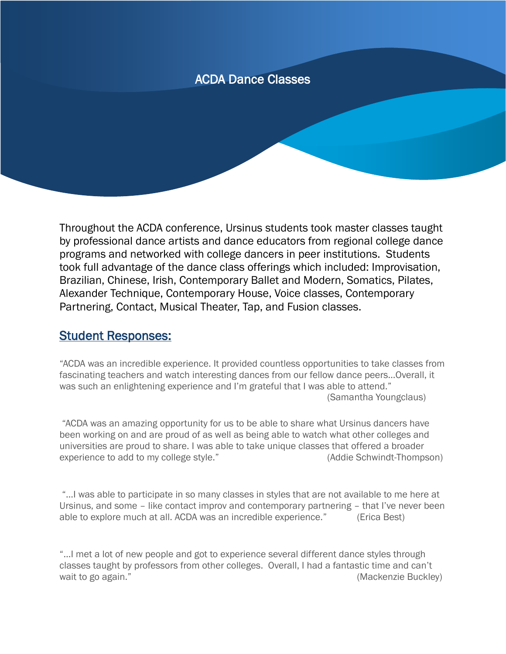## ACDA Dance Classes

Throughout the ACDA conference, Ursinus students took master classes taught by professional dance artists and dance educators from regional college dance programs and networked with college dancers in peer institutions. Students took full advantage of the dance class offerings which included: Improvisation, Brazilian, Chinese, Irish, Contemporary Ballet and Modern, Somatics, Pilates, Alexander Technique, Contemporary House, Voice classes, Contemporary Partnering, Contact, Musical Theater, Tap, and Fusion classes.

#### Student Responses:

"ACDA was an incredible experience. It provided countless opportunities to take classes from fascinating teachers and watch interesting dances from our fellow dance peers…Overall, it was such an enlightening experience and I'm grateful that I was able to attend." (Samantha Youngclaus)

"ACDA was an amazing opportunity for us to be able to share what Ursinus dancers have been working on and are proud of as well as being able to watch what other colleges and universities are proud to share. I was able to take unique classes that offered a broader experience to add to my college style." (Addie Schwindt-Thompson)

"…I was able to participate in so many classes in styles that are not available to me here at Ursinus, and some – like contact improv and contemporary partnering – that I've never been able to explore much at all. ACDA was an incredible experience." (Erica Best)

"…I met a lot of new people and got to experience several different dance styles through classes taught by professors from other colleges. Overall, I had a fantastic time and can't wait to go again." The same of the set of the set of the set of the set of the set of the set of the set of the set of the set of the set of the set of the set of the set of the set of the set of the set of the set of the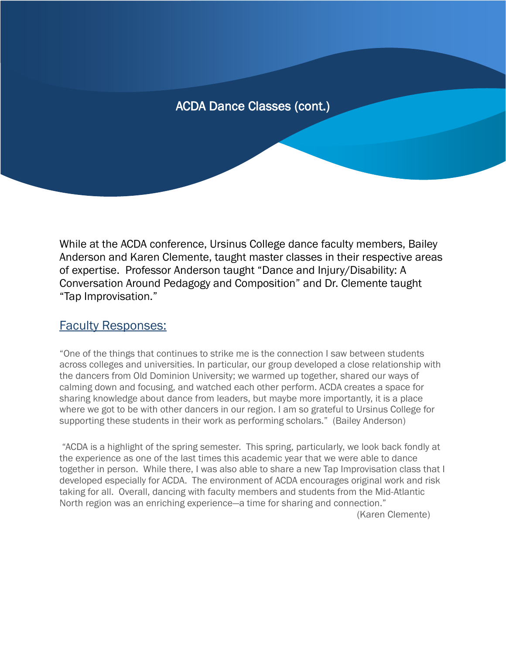ļ

While at the ACDA conference, Ursinus College dance faculty members, Bailey Anderson and Karen Clemente, taught master classes in their respective areas of expertise. Professor Anderson taught "Dance and Injury/Disability: A Conversation Around Pedagogy and Composition" and Dr. Clemente taught "Tap Improvisation."

#### Faculty Responses:

"One of the things that continues to strike me is the connection I saw between students across colleges and universities. In particular, our group developed a close relationship with the dancers from Old Dominion University; we warmed up together, shared our ways of calming down and focusing, and watched each other perform. ACDA creates a space for sharing knowledge about dance from leaders, but maybe more importantly, it is a place where we got to be with other dancers in our region. I am so grateful to Ursinus College for supporting these students in their work as performing scholars." (Bailey Anderson)

"ACDA is a highlight of the spring semester. This spring, particularly, we look back fondly at the experience as one of the last times this academic year that we were able to dance together in person. While there, I was also able to share a new Tap Improvisation class that I developed especially for ACDA. The environment of ACDA encourages original work and risk taking for all. Overall, dancing with faculty members and students from the Mid-Atlantic North region was an enriching experience—a time for sharing and connection." (Karen Clemente)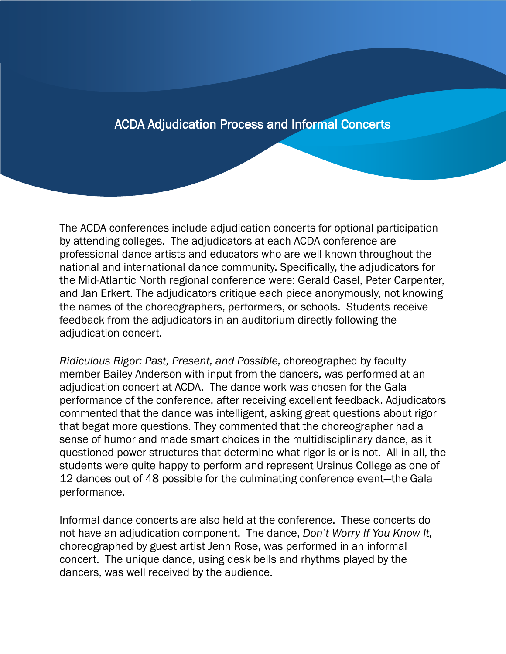## ACDA Adjudication Process and Informal Concerts

֖֖ׅ֧֚֚֚֚֚֚֚֚֚֚֚֚֚֚֚֚֚֚֚֬֡֡֡֡֡֡֬֡֡֡֬֝֟

The ACDA conferences include adjudication concerts for optional participation by attending colleges. The adjudicators at each ACDA conference are professional dance artists and educators who are well known throughout the national and international dance community. Specifically, the adjudicators for the Mid-Atlantic North regional conference were: Gerald Casel, Peter Carpenter, and Jan Erkert. The adjudicators critique each piece anonymously, not knowing the names of the choreographers, performers, or schools. Students receive feedback from the adjudicators in an auditorium directly following the adjudication concert.

*Ridiculous Rigor: Past, Present, and Possible,* choreographed by faculty member Bailey Anderson with input from the dancers, was performed at an adjudication concert at ACDA. The dance work was chosen for the Gala performance of the conference, after receiving excellent feedback. Adjudicators commented that the dance was intelligent, asking great questions about rigor that begat more questions. They commented that the choreographer had a sense of humor and made smart choices in the multidisciplinary dance, as it questioned power structures that determine what rigor is or is not. All in all, the students were quite happy to perform and represent Ursinus College as one of 12 dances out of 48 possible for the culminating conference event—the Gala performance.

Informal dance concerts are also held at the conference. These concerts do not have an adjudication component. The dance, *Don't Worry If You Know It,* choreographed by guest artist Jenn Rose, was performed in an informal concert. The unique dance, using desk bells and rhythms played by the dancers, was well received by the audience.